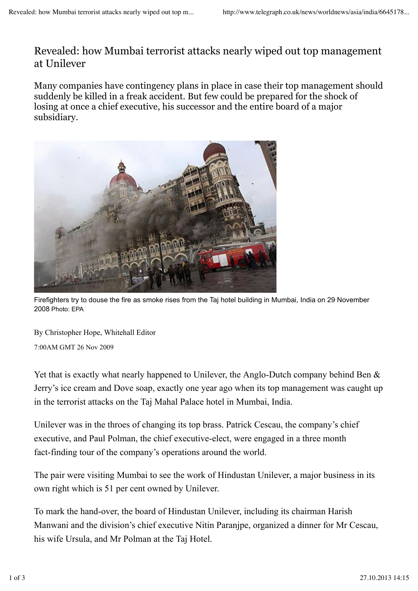## Revealed: how Mumbai terrorist attacks nearly wiped out top management at Unilever

Many companies have contingency plans in place in case their top management should suddenly be killed in a freak accident. But few could be prepared for the shock of losing at once a chief executive, his successor and the entire board of a major subsidiary.



Firefighters try to douse the fire as smoke rises from the Taj hotel building in Mumbai, India on 29 November 2008 Photo: EPA

By Christopher Hope, Whitehall Editor 7:00AM GMT 26 Nov 2009

Yet that is exactly what nearly happened to Unilever, the Anglo-Dutch company behind Ben & Jerry's ice cream and Dove soap, exactly one year ago when its top management was caught up in the terrorist attacks on the Taj Mahal Palace hotel in Mumbai, India.

Unilever was in the throes of changing its top brass. Patrick Cescau, the company's chief executive, and Paul Polman, the chief executive-elect, were engaged in a three month fact-finding tour of the company's operations around the world.

The pair were visiting Mumbai to see the work of Hindustan Unilever, a major business in its own right which is 51 per cent owned by Unilever.

To mark the hand-over, the board of Hindustan Unilever, including its chairman Harish Manwani and the division's chief executive Nitin Paranjpe, organized a dinner for Mr Cescau, his wife Ursula, and Mr Polman at the Taj Hotel.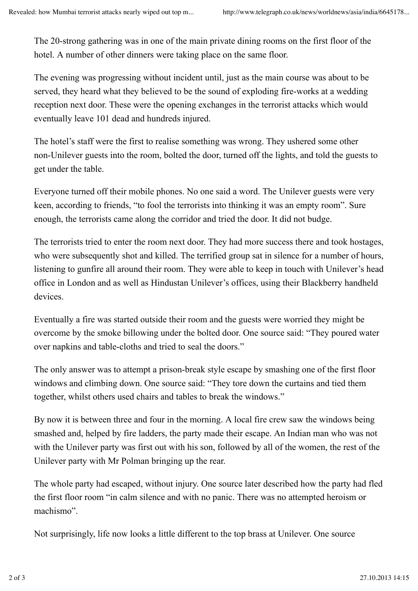The 20-strong gathering was in one of the main private dining rooms on the first floor of the hotel. A number of other dinners were taking place on the same floor.

The evening was progressing without incident until, just as the main course was about to be served, they heard what they believed to be the sound of exploding fire-works at a wedding reception next door. These were the opening exchanges in the terrorist attacks which would eventually leave 101 dead and hundreds injured.

The hotel's staff were the first to realise something was wrong. They ushered some other non-Unilever guests into the room, bolted the door, turned off the lights, and told the guests to get under the table.

Everyone turned off their mobile phones. No one said a word. The Unilever guests were very keen, according to friends, "to fool the terrorists into thinking it was an empty room". Sure enough, the terrorists came along the corridor and tried the door. It did not budge.

The terrorists tried to enter the room next door. They had more success there and took hostages, who were subsequently shot and killed. The terrified group sat in silence for a number of hours, listening to gunfire all around their room. They were able to keep in touch with Unilever's head office in London and as well as Hindustan Unilever's offices, using their Blackberry handheld devices.

Eventually a fire was started outside their room and the guests were worried they might be overcome by the smoke billowing under the bolted door. One source said: "They poured water over napkins and table-cloths and tried to seal the doors."

The only answer was to attempt a prison-break style escape by smashing one of the first floor windows and climbing down. One source said: "They tore down the curtains and tied them together, whilst others used chairs and tables to break the windows."

By now it is between three and four in the morning. A local fire crew saw the windows being smashed and, helped by fire ladders, the party made their escape. An Indian man who was not with the Unilever party was first out with his son, followed by all of the women, the rest of the Unilever party with Mr Polman bringing up the rear.

The whole party had escaped, without injury. One source later described how the party had fled the first floor room "in calm silence and with no panic. There was no attempted heroism or machismo".

Not surprisingly, life now looks a little different to the top brass at Unilever. One source